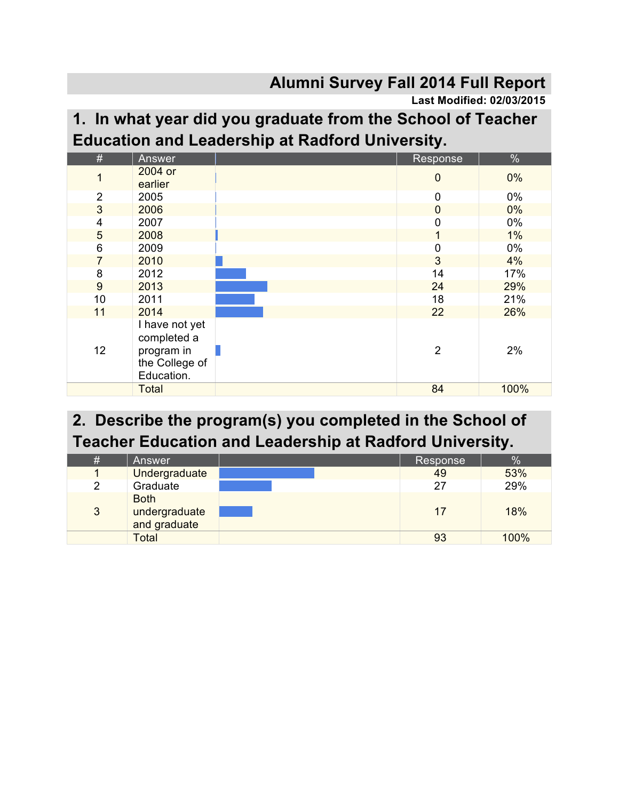### **Alumni Survey Fall 2014 Full Report**

**Last Modified: 02/03/2015**

### **1. In what year did you graduate from the School of Teacher Education and Leadership at Radford University.**

| #              | Answer                                                                      | Response       | $\%$  |
|----------------|-----------------------------------------------------------------------------|----------------|-------|
| 1              | 2004 or<br>earlier                                                          | $\overline{0}$ | $0\%$ |
| $\overline{2}$ | 2005                                                                        | 0              | 0%    |
| 3              | 2006                                                                        | $\mathbf{0}$   | $0\%$ |
| 4              | 2007                                                                        | 0              | 0%    |
| 5              | 2008                                                                        |                | $1\%$ |
| 6              | 2009                                                                        | 0              | 0%    |
| $\overline{7}$ | 2010                                                                        | 3              | 4%    |
| 8              | 2012                                                                        | 14             | 17%   |
| 9              | 2013                                                                        | 24             | 29%   |
| 10             | 2011                                                                        | 18             | 21%   |
| 11             | 2014                                                                        | 22             | 26%   |
| 12             | I have not yet<br>completed a<br>program in<br>the College of<br>Education. | $\overline{2}$ | 2%    |
|                | <b>Total</b>                                                                | 84             | 100%  |

### **2. Describe the program(s) you completed in the School of Teacher Education and Leadership at Radford University.**

| # | Answer                                       | Response | $\%$ |
|---|----------------------------------------------|----------|------|
|   | <b>Undergraduate</b>                         | 49       | 53%  |
| 2 | Graduate                                     | 27       | 29%  |
| 3 | <b>Both</b><br>undergraduate<br>and graduate | 17       | 18%  |
|   | <b>Total</b>                                 | 93       | 100% |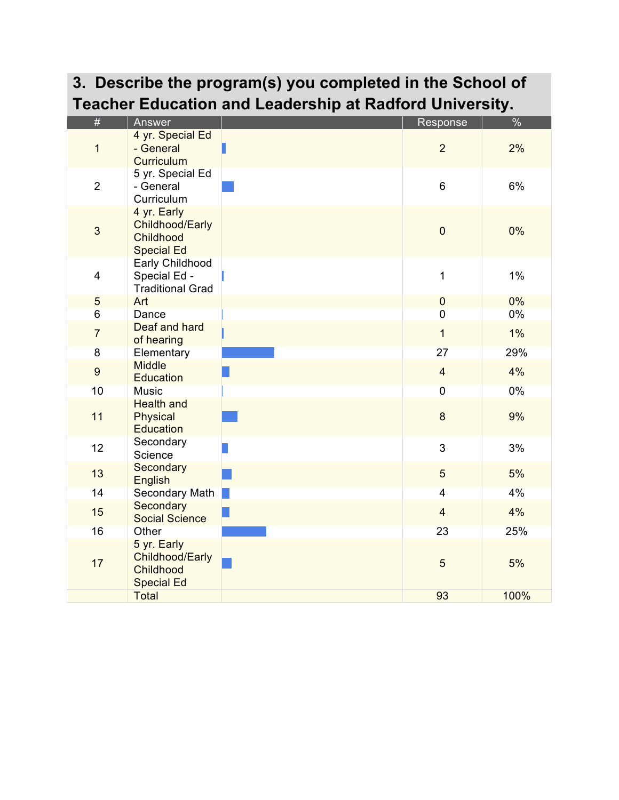| 3. Describe the program(s) you completed in the School of<br><b>Teacher Education and Leadership at Radford University.</b> |                                                                         |  |                 |      |  |
|-----------------------------------------------------------------------------------------------------------------------------|-------------------------------------------------------------------------|--|-----------------|------|--|
| #                                                                                                                           | Answer                                                                  |  | Response        | $\%$ |  |
| 1                                                                                                                           | 4 yr. Special Ed<br>- General<br>Curriculum                             |  | $\overline{2}$  | 2%   |  |
| $\overline{2}$                                                                                                              | 5 yr. Special Ed<br>- General<br>Curriculum                             |  | $6\phantom{1}6$ | 6%   |  |
| 3                                                                                                                           | 4 yr. Early<br><b>Childhood/Early</b><br>Childhood<br><b>Special Ed</b> |  | $\mathbf 0$     | 0%   |  |
| 4                                                                                                                           | Early Childhood<br>Special Ed -<br><b>Traditional Grad</b>              |  | 1               | 1%   |  |
| 5                                                                                                                           | Art                                                                     |  | $\mathbf 0$     | 0%   |  |
| 6                                                                                                                           | Dance                                                                   |  | 0               | 0%   |  |
| $\overline{7}$                                                                                                              | Deaf and hard<br>of hearing                                             |  | $\mathbf{1}$    | 1%   |  |
| 8                                                                                                                           | Elementary                                                              |  | 27              | 29%  |  |
| $\boldsymbol{9}$                                                                                                            | <b>Middle</b><br><b>Education</b>                                       |  | $\overline{4}$  | 4%   |  |
| 10                                                                                                                          | Music                                                                   |  | $\pmb{0}$       | 0%   |  |
| 11                                                                                                                          | <b>Health and</b><br><b>Physical</b><br><b>Education</b>                |  | $\bf 8$         | 9%   |  |
| 12                                                                                                                          | Secondary<br>Science                                                    |  | 3               | 3%   |  |
| 13                                                                                                                          | Secondary<br>English                                                    |  | 5               | 5%   |  |
| 14                                                                                                                          | Secondary Math                                                          |  | 4               | 4%   |  |
| 15                                                                                                                          | Secondary<br><b>Social Science</b>                                      |  | $\overline{4}$  | 4%   |  |
| 16                                                                                                                          | Other                                                                   |  | 23              | 25%  |  |
| 17                                                                                                                          | 5 yr. Early<br>Childhood/Early<br>Childhood<br><b>Special Ed</b>        |  | 5               | 5%   |  |
|                                                                                                                             | <b>Total</b>                                                            |  | 93              | 100% |  |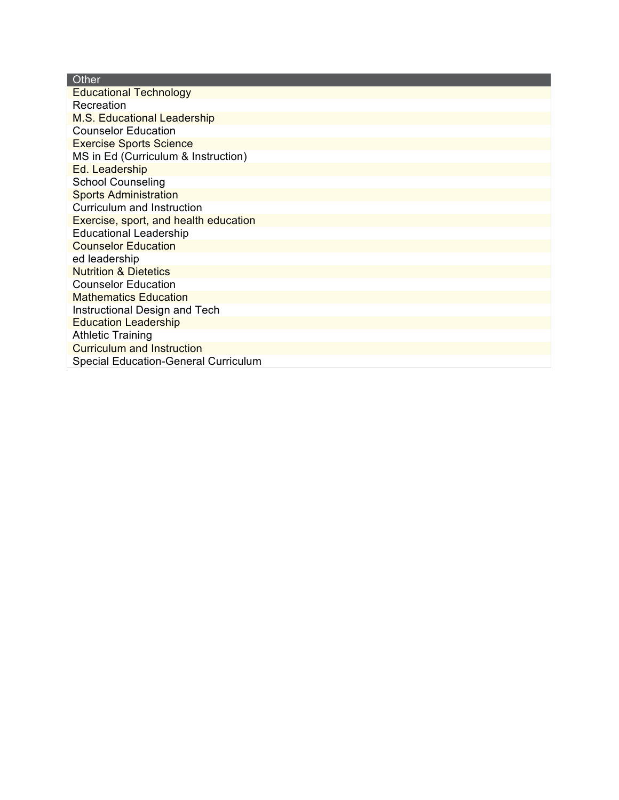#### **Other**

Educational Technology **Recreation** M.S. Educational Leadership Counselor Education Exercise Sports Science MS in Ed (Curriculum & Instruction) Ed. Leadership School Counseling Sports Administration Curriculum and Instruction Exercise, sport, and health education Educational Leadership Counselor Education ed leadership Nutrition & Dietetics Counselor Education Mathematics Education Instructional Design and Tech Education Leadership Athletic Training Curriculum and Instruction Special Education-General Curriculum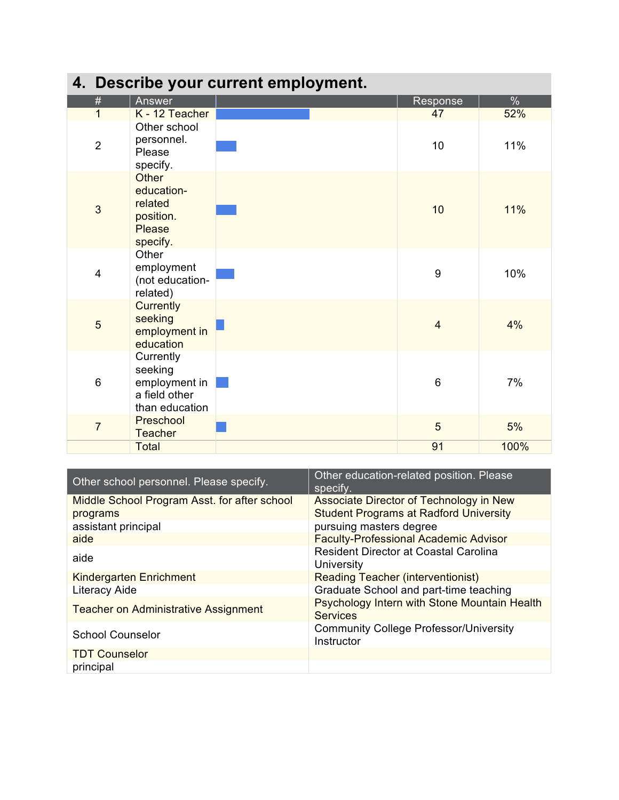| 4. Describe your current employment. |                                                                          |  |                |      |  |  |
|--------------------------------------|--------------------------------------------------------------------------|--|----------------|------|--|--|
| #                                    | Answer                                                                   |  | Response       | $\%$ |  |  |
| 1                                    | K - 12 Teacher                                                           |  | 47             | 52%  |  |  |
| $\overline{2}$                       | Other school<br>personnel.<br>Please<br>specify.                         |  | 10             | 11%  |  |  |
| 3                                    | Other<br>education-<br>related<br>position.<br><b>Please</b><br>specify. |  | 10             | 11%  |  |  |
| $\overline{4}$                       | Other<br>employment<br>(not education-<br>related)                       |  | 9              | 10%  |  |  |
| 5                                    | <b>Currently</b><br>seeking<br>employment in<br>education                |  | $\overline{4}$ | 4%   |  |  |
| 6                                    | Currently<br>seeking<br>employment in<br>a field other<br>than education |  | $6\phantom{1}$ | 7%   |  |  |
| $\overline{7}$                       | Preschool<br><b>Teacher</b>                                              |  | 5              | 5%   |  |  |
|                                      | <b>Total</b>                                                             |  | 91             | 100% |  |  |

| Other school personnel. Please specify.      | Other education-related position. Please<br>specify.            |
|----------------------------------------------|-----------------------------------------------------------------|
| Middle School Program Asst. for after school | Associate Director of Technology in New                         |
| programs                                     | <b>Student Programs at Radford University</b>                   |
| assistant principal                          | pursuing masters degree                                         |
| aide                                         | <b>Faculty-Professional Academic Advisor</b>                    |
| aide                                         | <b>Resident Director at Coastal Carolina</b><br>University      |
| <b>Kindergarten Enrichment</b>               | <b>Reading Teacher (interventionist)</b>                        |
| Literacy Aide                                | Graduate School and part-time teaching                          |
| <b>Teacher on Administrative Assignment</b>  | Psychology Intern with Stone Mountain Health<br><b>Services</b> |
| <b>School Counselor</b>                      | <b>Community College Professor/University</b><br>Instructor     |
| <b>TDT Counselor</b>                         |                                                                 |
| principal                                    |                                                                 |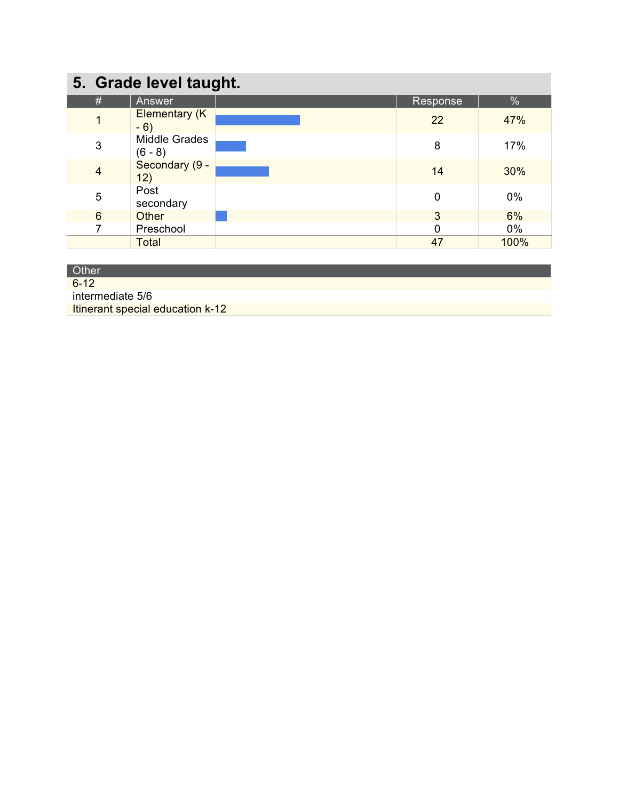# **5. Grade level taught.**

| . <u>. .</u>    |                                |  |          |       |  |
|-----------------|--------------------------------|--|----------|-------|--|
| #               | <b>Answer</b>                  |  | Response | $\%$  |  |
| 1               | <b>Elementary (K)</b><br>$-6)$ |  | 22       | 47%   |  |
| 3               | Middle Grades<br>$(6 - 8)$     |  | 8        | 17%   |  |
| $\overline{4}$  | Secondary (9 -<br>12)          |  | 14       | 30%   |  |
| 5               | Post<br>secondary              |  | $\Omega$ | 0%    |  |
| $6\phantom{1}6$ | Other                          |  | 3        | 6%    |  |
| 7               | Preschool                      |  | $\Omega$ | $0\%$ |  |
|                 | <b>Total</b>                   |  | 47       | 100%  |  |

| Other                                   |
|-----------------------------------------|
| $6 - 12$                                |
| intermediate 5/6                        |
| <b>Itinerant special education k-12</b> |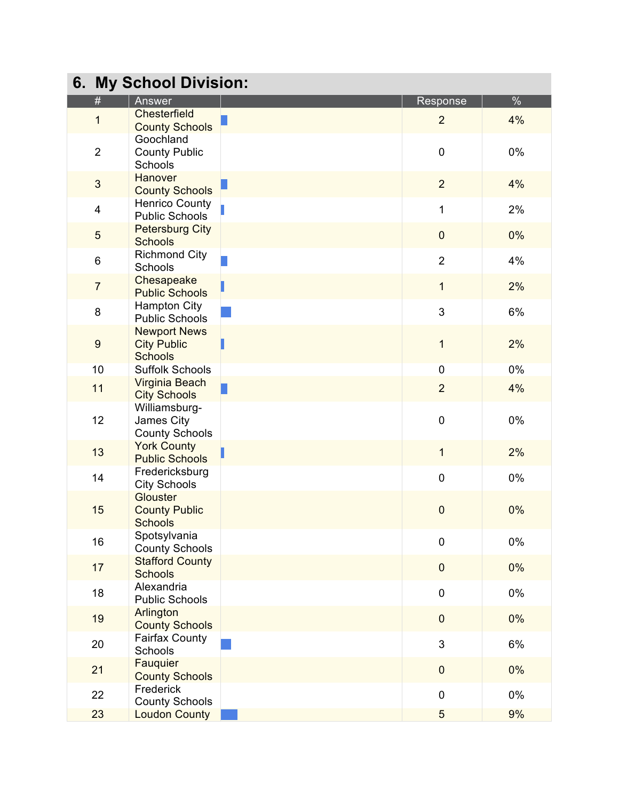| 6.                      | <b>My School Division:</b>                                  |                  |       |
|-------------------------|-------------------------------------------------------------|------------------|-------|
| #                       | Answer                                                      | Response         | $\%$  |
| $\mathbf{1}$            | Chesterfield<br><b>County Schools</b>                       | $\overline{2}$   | 4%    |
| $\overline{2}$          | Goochland<br><b>County Public</b><br>Schools                | $\pmb{0}$        | $0\%$ |
| $\mathbf{3}$            | Hanover<br><b>County Schools</b>                            | $\overline{2}$   | 4%    |
| $\overline{\mathbf{4}}$ | Henrico County<br><b>Public Schools</b>                     | 1                | 2%    |
| 5                       | <b>Petersburg City</b><br><b>Schools</b>                    | $\mathbf 0$      | $0\%$ |
| $\,6\,$                 | <b>Richmond City</b><br>Schools                             | $\overline{2}$   | 4%    |
| $\overline{7}$          | Chesapeake<br><b>Public Schools</b>                         | 1                | 2%    |
| 8                       | <b>Hampton City</b><br><b>Public Schools</b>                | 3                | 6%    |
| $\boldsymbol{9}$        | <b>Newport News</b><br><b>City Public</b><br><b>Schools</b> | 1                | 2%    |
| 10                      | <b>Suffolk Schools</b>                                      | $\pmb{0}$        | $0\%$ |
| 11                      | Virginia Beach<br><b>City Schools</b>                       | $\overline{2}$   | 4%    |
| 12                      | Williamsburg-<br>James City<br><b>County Schools</b>        | $\mathbf 0$      | 0%    |
| 13                      | <b>York County</b><br><b>Public Schools</b>                 | $\mathbf{1}$     | 2%    |
| 14                      | Fredericksburg<br><b>City Schools</b>                       | $\mathbf 0$      | $0\%$ |
| 15                      | Glouster<br><b>County Public</b><br><b>Schools</b>          | $\mathbf 0$      | 0%    |
| 16                      | Spotsylvania<br><b>County Schools</b>                       | $\mathbf 0$      | 0%    |
| 17                      | <b>Stafford County</b><br><b>Schools</b>                    | $\mathbf 0$      | $0\%$ |
| 18                      | Alexandria<br><b>Public Schools</b>                         | $\mathbf 0$      | 0%    |
| 19                      | Arlington<br><b>County Schools</b>                          | $\boldsymbol{0}$ | $0\%$ |
| 20                      | <b>Fairfax County</b><br>Schools                            | 3                | 6%    |
| 21                      | Fauquier<br><b>County Schools</b>                           | $\mathbf 0$      | $0\%$ |
| 22                      | Frederick<br><b>County Schools</b>                          | $\mathbf 0$      | $0\%$ |
| 23                      | <b>Loudon County</b>                                        | 5                | 9%    |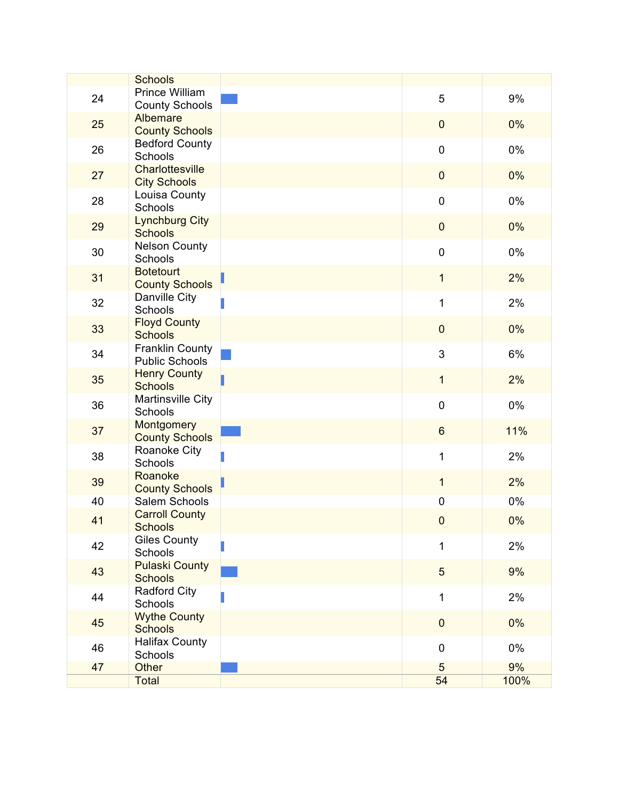|    | <b>Schools</b>                          |                  |       |
|----|-----------------------------------------|------------------|-------|
| 24 | Prince William                          | 5                | 9%    |
|    | <b>County Schools</b><br>Albemare       |                  |       |
| 25 | <b>County Schools</b>                   | $\boldsymbol{0}$ | $0\%$ |
| 26 | <b>Bedford County</b>                   | $\mathbf 0$      | $0\%$ |
|    | Schools                                 |                  |       |
| 27 | Charlottesville<br><b>City Schools</b>  | $\overline{0}$   | 0%    |
| 28 | Louisa County<br>Schools                | $\mathbf 0$      | $0\%$ |
| 29 | <b>Lynchburg City</b><br><b>Schools</b> | $\boldsymbol{0}$ | 0%    |
| 30 | <b>Nelson County</b><br>Schools         | $\overline{0}$   | 0%    |
|    | <b>Botetourt</b>                        |                  |       |
| 31 | <b>County Schools</b>                   | $\mathbf{1}$     | 2%    |
| 32 | Danville City<br>Schools                | $\mathbf{1}$     | 2%    |
| 33 | <b>Floyd County</b><br><b>Schools</b>   | $\boldsymbol{0}$ | 0%    |
|    | <b>Franklin County</b>                  |                  |       |
| 34 | <b>Public Schools</b>                   | 3                | 6%    |
| 35 | <b>Henry County</b><br><b>Schools</b>   | $\mathbf 1$      | 2%    |
| 36 | <b>Martinsville City</b><br>Schools     | $\overline{0}$   | $0\%$ |
| 37 | Montgomery<br><b>County Schools</b>     | $6\phantom{a}$   | 11%   |
|    | Roanoke City                            |                  |       |
| 38 | Schools                                 | 1                | 2%    |
| 39 | Roanoke                                 | $\mathbf{1}$     | 2%    |
| 40 | <b>County Schools</b><br>Salem Schools  | 0                | 0%    |
|    | <b>Carroll County</b>                   |                  |       |
| 41 | <b>Schools</b>                          | $\mathbf 0$      | 0%    |
| 42 | <b>Giles County</b><br>Schools          | $\mathbf{1}$     | 2%    |
| 43 | <b>Pulaski County</b>                   | 5                | 9%    |
|    | <b>Schools</b>                          |                  |       |
| 44 | Radford City<br>Schools                 | $\mathbf{1}$     | 2%    |
| 45 | <b>Wythe County</b>                     | $\mathbf 0$      |       |
|    | <b>Schools</b>                          |                  | $0\%$ |
| 46 | <b>Halifax County</b><br>Schools        | $\mathbf 0$      | 0%    |
| 47 | Other                                   | 5                | 9%    |
|    | Total                                   | 54               | 100%  |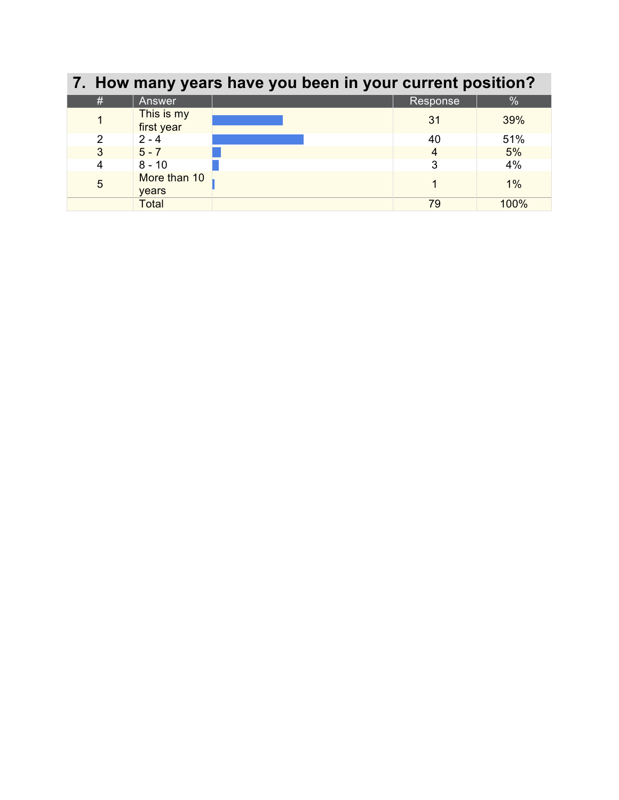| 7. How many years have you been in your current position? |                          |  |          |               |  |  |
|-----------------------------------------------------------|--------------------------|--|----------|---------------|--|--|
| #                                                         | Answer                   |  | Response | $\frac{1}{2}$ |  |  |
|                                                           | This is my<br>first year |  | 31       | 39%           |  |  |
| 2                                                         | $2 - 4$                  |  | 40       | 51%           |  |  |
| 3                                                         | $5 - 7$                  |  | 4        | 5%            |  |  |
|                                                           | $8 - 10$                 |  | 3        | 4%            |  |  |
| 5                                                         | More than 10<br>years    |  |          | 1%            |  |  |
|                                                           | Total                    |  | 79       | 100%          |  |  |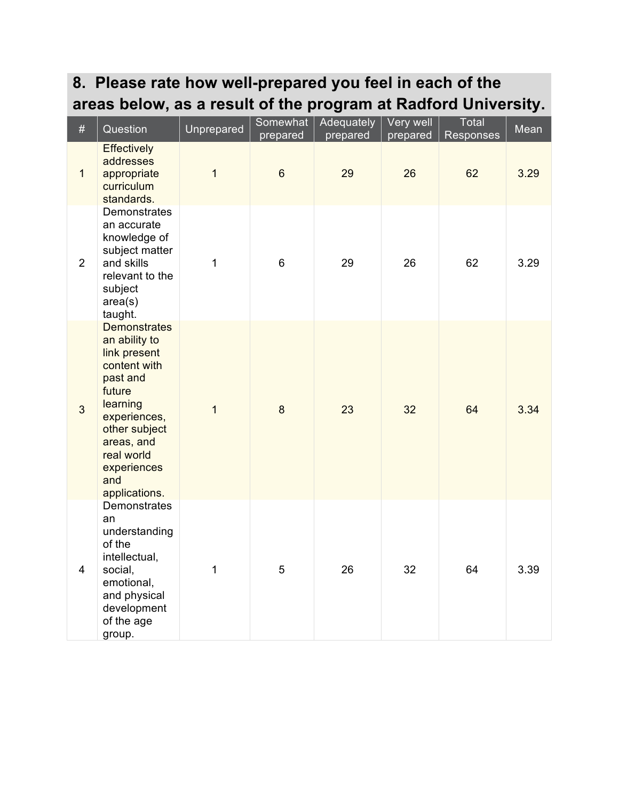| $\#$           | Question                                                                                                                                                                                                   | Unprepared     | Somewhat<br>prepared | Adequately<br>prepared | Very well<br>prepared | Total<br>Responses | Mean |
|----------------|------------------------------------------------------------------------------------------------------------------------------------------------------------------------------------------------------------|----------------|----------------------|------------------------|-----------------------|--------------------|------|
| $\mathbf{1}$   | <b>Effectively</b><br>addresses<br>appropriate<br>curriculum<br>standards.                                                                                                                                 | $\mathbf{1}$   | $6\phantom{a}$       | 29                     | 26                    | 62                 | 3.29 |
| $\overline{2}$ | Demonstrates<br>an accurate<br>knowledge of<br>subject matter<br>and skills<br>relevant to the<br>subject<br>area(s)<br>taught.                                                                            | 1              | $6\phantom{1}$       | 29                     | 26                    | 62                 | 3.29 |
| 3              | <b>Demonstrates</b><br>an ability to<br>link present<br>content with<br>past and<br>future<br>learning<br>experiences,<br>other subject<br>areas, and<br>real world<br>experiences<br>and<br>applications. | $\overline{1}$ | 8                    | 23                     | 32                    | 64                 | 3.34 |
| $\overline{4}$ | <b>Demonstrates</b><br>an<br>understanding<br>of the<br>intellectual,<br>social,<br>emotional,<br>and physical<br>development<br>of the age<br>group.                                                      | 1              | 5                    | 26                     | 32                    | 64                 | 3.39 |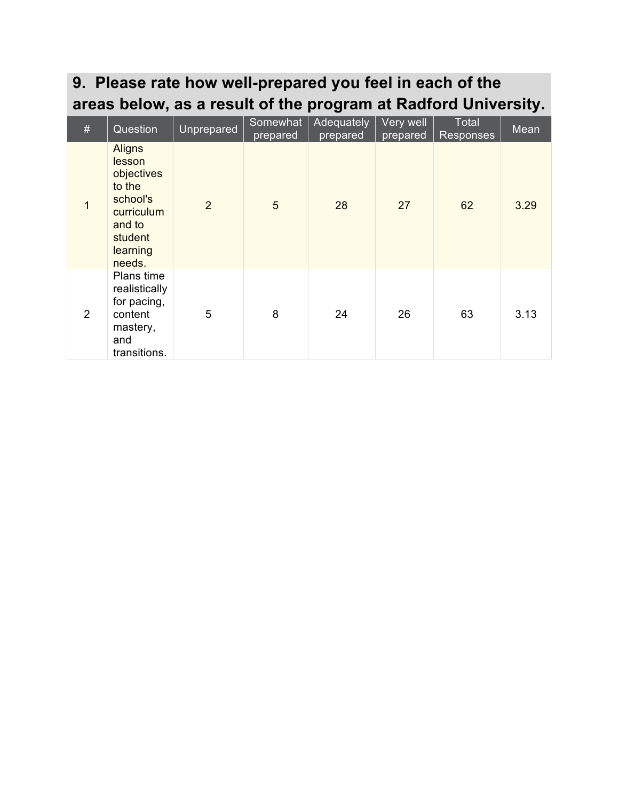| $\#$           | Question                                                                                                             | Unprepared | Somewhat<br>prepared | Adequately<br>prepared | Very well<br>prepared | Total<br>Responses | Mean |
|----------------|----------------------------------------------------------------------------------------------------------------------|------------|----------------------|------------------------|-----------------------|--------------------|------|
| $\mathbf 1$    | <b>Aligns</b><br>lesson<br>objectives<br>to the<br>school's<br>curriculum<br>and to<br>student<br>learning<br>needs. | 2          | 5                    | 28                     | 27                    | 62                 | 3.29 |
| $\overline{2}$ | Plans time<br>realistically<br>for pacing,<br>content<br>mastery,<br>and<br>transitions.                             | 5          | 8                    | 24                     | 26                    | 63                 | 3.13 |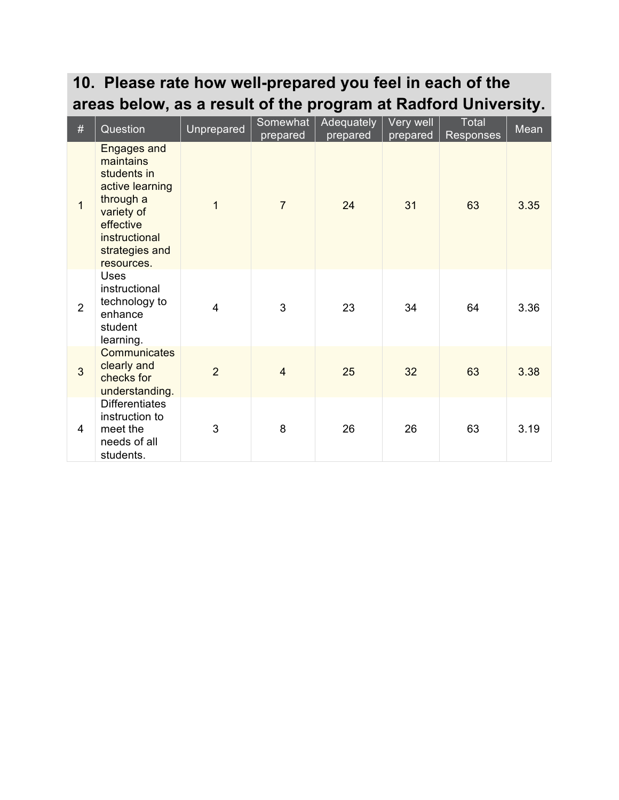| $\#$           | Question                                                                                                                                                   | Unprepared     | Somewhat<br>prepared | Adequately<br>prepared | Very well<br>prepared | Total<br>Responses | Mean |
|----------------|------------------------------------------------------------------------------------------------------------------------------------------------------------|----------------|----------------------|------------------------|-----------------------|--------------------|------|
| $\overline{1}$ | <b>Engages and</b><br>maintains<br>students in<br>active learning<br>through a<br>variety of<br>effective<br>instructional<br>strategies and<br>resources. | 1              | $\overline{7}$       | 24                     | 31                    | 63                 | 3.35 |
| $\overline{2}$ | Uses<br>instructional<br>technology to<br>enhance<br>student<br>learning.                                                                                  | $\overline{4}$ | 3                    | 23                     | 34                    | 64                 | 3.36 |
| $\overline{3}$ | <b>Communicates</b><br>clearly and<br>checks for<br>understanding.                                                                                         | $\overline{2}$ | $\overline{4}$       | 25                     | 32                    | 63                 | 3.38 |
| 4              | <b>Differentiates</b><br>instruction to<br>meet the<br>needs of all<br>students.                                                                           | 3              | 8                    | 26                     | 26                    | 63                 | 3.19 |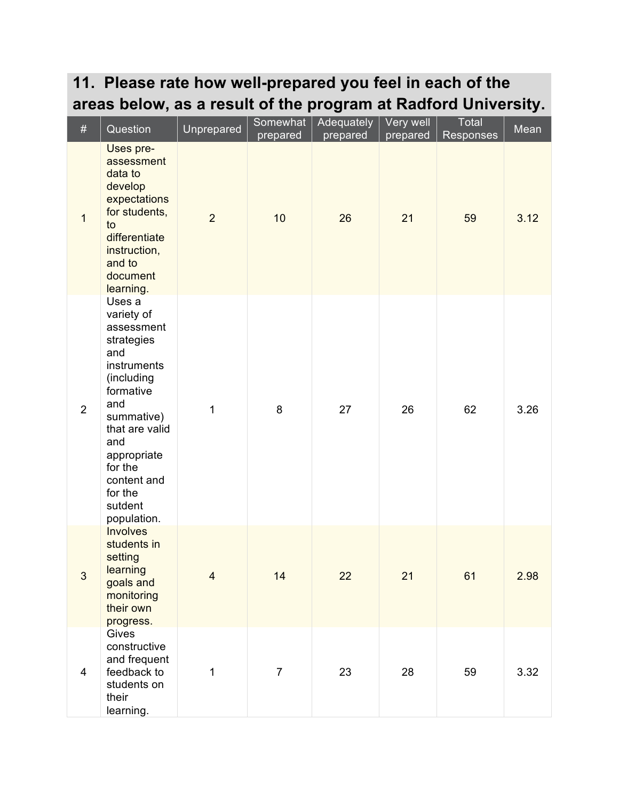| $\#$           | Question                                                                                                                                                                                                                      | Unprepared     | Somewhat<br>prepared | <b>Adequately</b><br>prepared | Very well<br>prepared | Total<br>Responses | Mean |
|----------------|-------------------------------------------------------------------------------------------------------------------------------------------------------------------------------------------------------------------------------|----------------|----------------------|-------------------------------|-----------------------|--------------------|------|
| $\mathbf{1}$   | Uses pre-<br>assessment<br>data to<br>develop<br>expectations<br>for students,<br>to<br>differentiate<br>instruction,<br>and to<br>document<br>learning.                                                                      | $\overline{2}$ | 10                   | 26                            | 21                    | 59                 | 3.12 |
| $\overline{2}$ | Uses a<br>variety of<br>assessment<br>strategies<br>and<br>instruments<br>(including<br>formative<br>and<br>summative)<br>that are valid<br>and<br>appropriate<br>for the<br>content and<br>for the<br>sutdent<br>population. | 1              | 8                    | 27                            | 26                    | 62                 | 3.26 |
| 3              | Involves<br>students in<br>setting<br>learning<br>goals and<br>monitoring<br>their own<br>progress.                                                                                                                           | $\overline{4}$ | 14                   | 22                            | 21                    | 61                 | 2.98 |
| $\overline{4}$ | Gives<br>constructive<br>and frequent<br>feedback to<br>students on<br>their<br>learning.                                                                                                                                     | 1              | $\overline{7}$       | 23                            | 28                    | 59                 | 3.32 |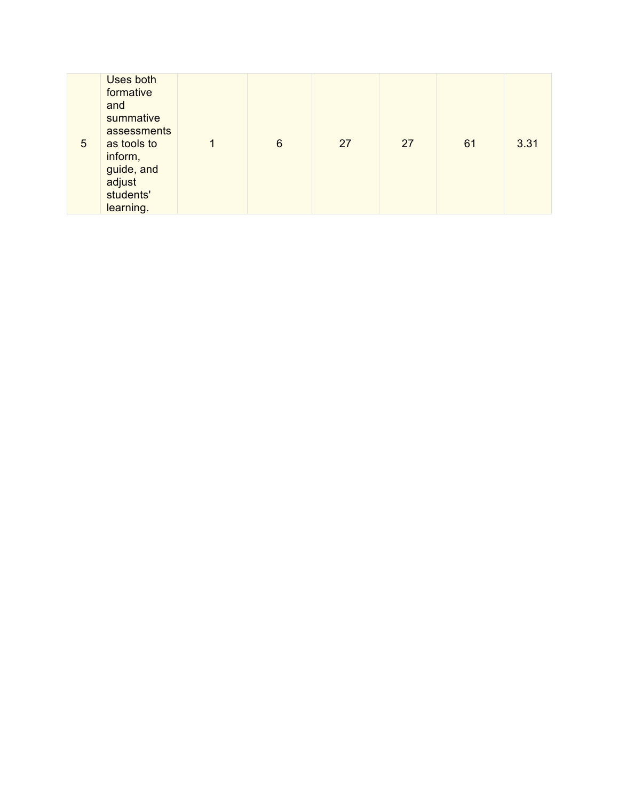| Uses both<br>formative<br>and<br>summative<br>assessments<br>as tools to<br>5<br>inform,<br>guide, and<br>adjust<br>students'<br>learning. | 4 | 6 | 27 | 27 | 61 | 3.31 |
|--------------------------------------------------------------------------------------------------------------------------------------------|---|---|----|----|----|------|
|--------------------------------------------------------------------------------------------------------------------------------------------|---|---|----|----|----|------|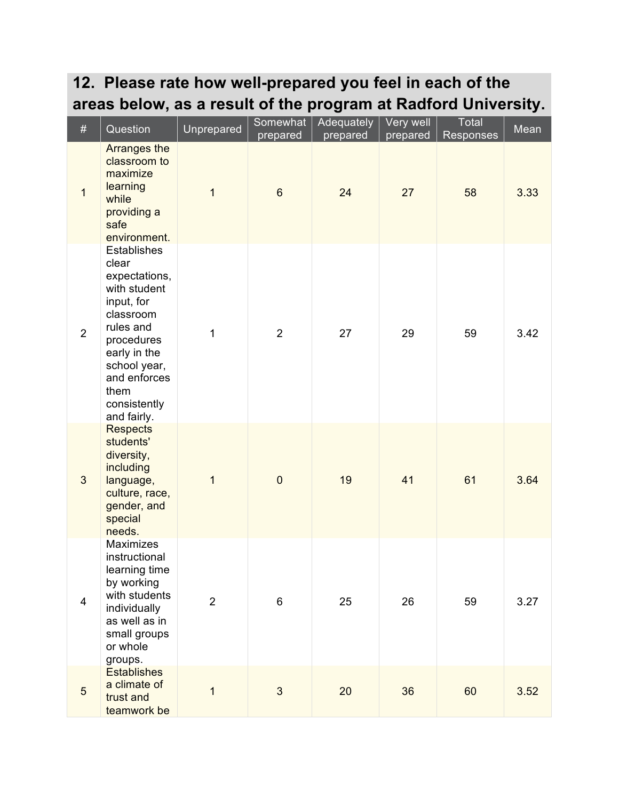| $\#$           | Question                                                                                                                                                                                                  | Unprepared     | Somewhat<br>prepared | Adequately<br>prepared | Very well<br>prepared | Total<br>Responses | Mean |
|----------------|-----------------------------------------------------------------------------------------------------------------------------------------------------------------------------------------------------------|----------------|----------------------|------------------------|-----------------------|--------------------|------|
| $\mathbf{1}$   | <b>Arranges the</b><br>classroom to<br>maximize<br>learning<br>while<br>providing a<br>safe<br>environment.                                                                                               | $\overline{1}$ | $6\phantom{1}$       | 24                     | 27                    | 58                 | 3.33 |
| $\overline{2}$ | <b>Establishes</b><br>clear<br>expectations,<br>with student<br>input, for<br>classroom<br>rules and<br>procedures<br>early in the<br>school year,<br>and enforces<br>them<br>consistently<br>and fairly. | 1              | $\overline{2}$       | 27                     | 29                    | 59                 | 3.42 |
| $\mathbf{3}$   | <b>Respects</b><br>students'<br>diversity,<br>including<br>language,<br>culture, race,<br>gender, and<br>special<br>needs.                                                                                | $\mathbf{1}$   | $\mathbf 0$          | 19                     | 41                    | 61                 | 3.64 |
| $\overline{4}$ | <b>Maximizes</b><br>instructional<br>learning time<br>by working<br>with students<br>individually<br>as well as in<br>small groups<br>or whole<br>groups.                                                 | $\overline{2}$ | $\,6$                | 25                     | 26                    | 59                 | 3.27 |
| $5\phantom{.}$ | <b>Establishes</b><br>a climate of<br>trust and<br>teamwork be                                                                                                                                            | $\overline{1}$ | 3                    | 20                     | 36                    | 60                 | 3.52 |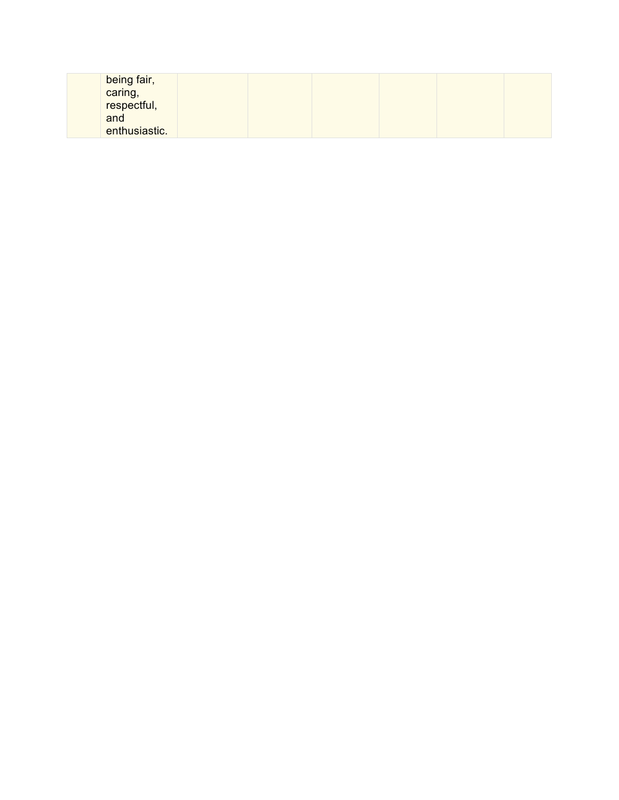| being fair,            |  |  |  |
|------------------------|--|--|--|
|                        |  |  |  |
| caring,<br>respectful, |  |  |  |
| and                    |  |  |  |
| enthusiastic.          |  |  |  |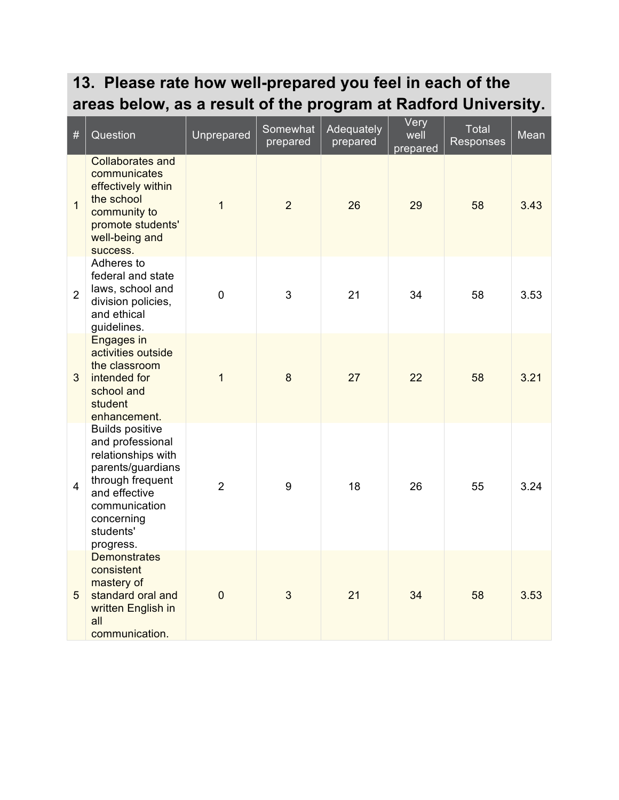| $\#$            | Question                                                                                                                                                                            | Unprepared     | Somewhat<br>prepared | Adequately<br>prepared | Very<br>well<br>prepared | Total<br><b>Responses</b> | Mean |
|-----------------|-------------------------------------------------------------------------------------------------------------------------------------------------------------------------------------|----------------|----------------------|------------------------|--------------------------|---------------------------|------|
| $\mathbf{1}$    | <b>Collaborates and</b><br>communicates<br>effectively within<br>the school<br>community to<br>promote students'<br>well-being and<br>success.                                      | $\mathbf{1}$   | $\overline{2}$       | 26                     | 29                       | 58                        | 3.43 |
| $\overline{2}$  | Adheres to<br>federal and state<br>laws, school and<br>division policies,<br>and ethical<br>guidelines.                                                                             | $\overline{0}$ | 3                    | 21                     | 34                       | 58                        | 3.53 |
| 3               | <b>Engages in</b><br>activities outside<br>the classroom<br>intended for<br>school and<br>student<br>enhancement.                                                                   | $\mathbf{1}$   | 8                    | 27                     | 22                       | 58                        | 3.21 |
| 4               | <b>Builds positive</b><br>and professional<br>relationships with<br>parents/guardians<br>through frequent<br>and effective<br>communication<br>concerning<br>students'<br>progress. | $\overline{2}$ | 9                    | 18                     | 26                       | 55                        | 3.24 |
| $5\phantom{.0}$ | <b>Demonstrates</b><br>consistent<br>mastery of<br>standard oral and<br>written English in<br>all<br>communication.                                                                 | $\overline{0}$ | 3                    | 21                     | 34                       | 58                        | 3.53 |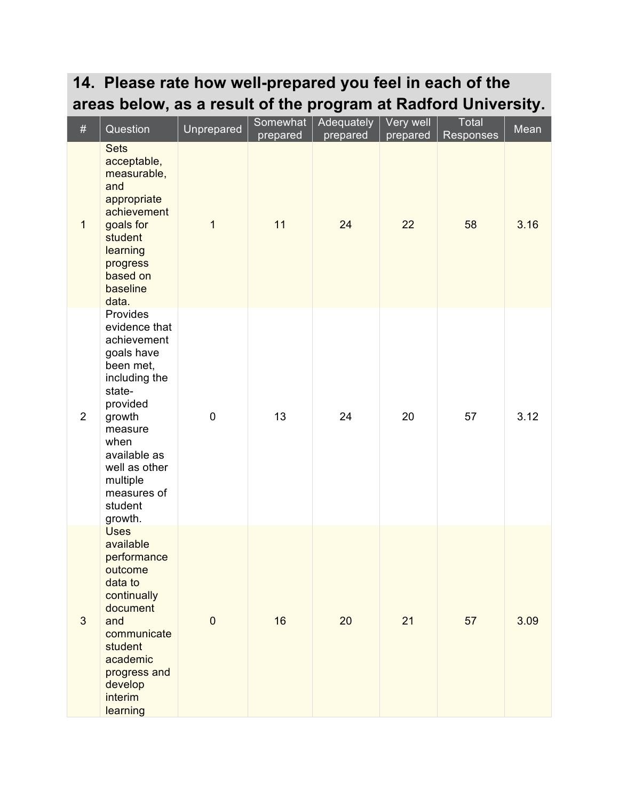| #              | Question                                                                                                                                                                                                                  | Unprepared  | Somewhat<br>prepared | Adequately<br>prepared | Very well<br>prepared | Total<br>Responses | Mean |
|----------------|---------------------------------------------------------------------------------------------------------------------------------------------------------------------------------------------------------------------------|-------------|----------------------|------------------------|-----------------------|--------------------|------|
| $\mathbf{1}$   | <b>Sets</b><br>acceptable,<br>measurable,<br>and<br>appropriate<br>achievement<br>goals for<br>student<br>learning<br>progress<br>based on<br>baseline<br>data.                                                           | $\mathbf 1$ | 11                   | 24                     | 22                    | 58                 | 3.16 |
| $\overline{2}$ | Provides<br>evidence that<br>achievement<br>goals have<br>been met,<br>including the<br>state-<br>provided<br>growth<br>measure<br>when<br>available as<br>well as other<br>multiple<br>measures of<br>student<br>growth. | $\pmb{0}$   | 13                   | 24                     | 20                    | 57                 | 3.12 |
| $\sqrt{3}$     | <b>Uses</b><br>available<br>performance<br>outcome<br>data to<br>continually<br>document<br>and<br>communicate<br>student<br>academic<br>progress and<br>develop<br>interim<br>learning                                   | $\mathbf 0$ | 16                   | 20                     | 21                    | 57                 | 3.09 |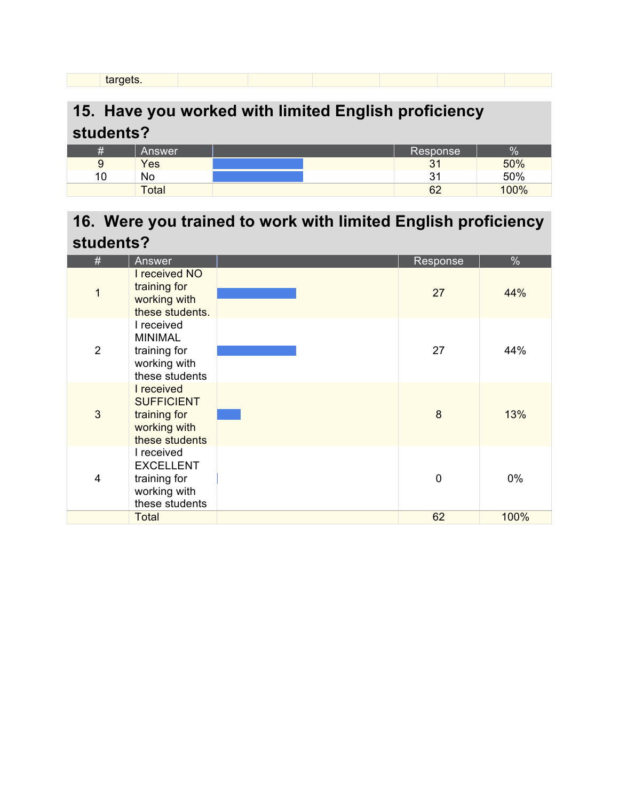| amer<br>$\sim$ |  |  |
|----------------|--|--|

#### **15. Have you worked with limited English proficiency students?**

| 4 | Answer | Response          | $\mathbf{o}$<br>70 |
|---|--------|-------------------|--------------------|
| 9 | Yes    | $\mathbf{R}$<br>ັ | 50%                |
| U | No     | بہ<br>ັ           | 50%                |
|   | Total  | 62                | 100%               |

## **16. Were you trained to work with limited English proficiency students?**

| #              | Answer                                                                            | Response    | $\%$  |
|----------------|-----------------------------------------------------------------------------------|-------------|-------|
| $\mathbf{1}$   | I received NO<br>training for<br>working with<br>these students.                  | 27          | 44%   |
| $\overline{2}$ | I received<br><b>MINIMAL</b><br>training for<br>working with<br>these students    | 27          | 44%   |
| 3              | I received<br><b>SUFFICIENT</b><br>training for<br>working with<br>these students | 8           | 13%   |
| 4              | I received<br><b>EXCELLENT</b><br>training for<br>working with<br>these students  | $\mathbf 0$ | $0\%$ |
|                | <b>Total</b>                                                                      | 62          | 100%  |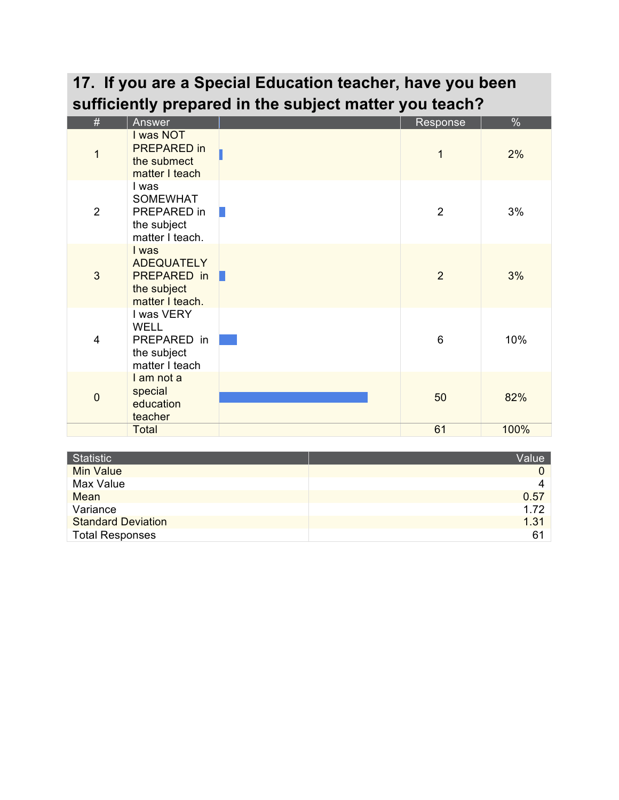| 17. If you are a Special Education teacher, have you been |                                                                             |                                                        |                |      |  |
|-----------------------------------------------------------|-----------------------------------------------------------------------------|--------------------------------------------------------|----------------|------|--|
|                                                           |                                                                             | sufficiently prepared in the subject matter you teach? |                |      |  |
| #                                                         | Answer                                                                      |                                                        | Response       | $\%$ |  |
| 1                                                         | I was NOT<br><b>PREPARED in</b><br>the submect<br>matter I teach            |                                                        | $\overline{1}$ | 2%   |  |
| $\overline{2}$                                            | I was<br><b>SOMEWHAT</b><br>PREPARED in<br>the subject<br>matter I teach.   |                                                        | $\overline{2}$ | 3%   |  |
| 3                                                         | I was<br><b>ADEQUATELY</b><br>PREPARED in<br>the subject<br>matter I teach. |                                                        | 2              | 3%   |  |
| $\overline{4}$                                            | I was VERY<br>WELL<br>PREPARED in<br>the subject<br>matter I teach          |                                                        | 6              | 10%  |  |
| $\overline{0}$                                            | I am not a<br>special<br>education<br>teacher                               |                                                        | 50             | 82%  |  |
|                                                           | <b>Total</b>                                                                |                                                        | 61             | 100% |  |

| Statistic                 | Value |
|---------------------------|-------|
| Min Value                 |       |
| Max Value                 | 4     |
| Mean                      | 0.57  |
| Variance                  | 1.72  |
| <b>Standard Deviation</b> | 1.31  |
| <b>Total Responses</b>    | 61    |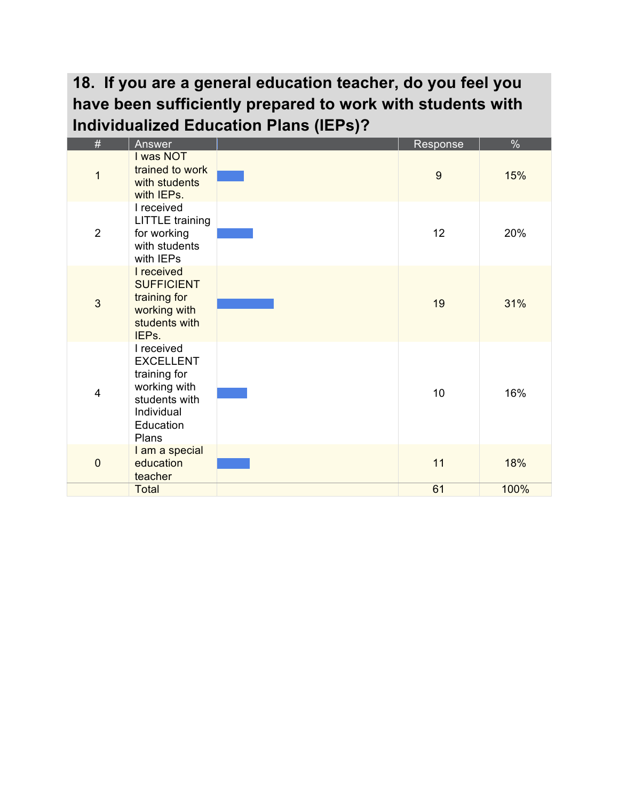# **18. If you are a general education teacher, do you feel you have been sufficiently prepared to work with students with Individualized Education Plans (IEPs)?**

| #              | Answer                                                                                                              | Response       | $\frac{0}{0}$ |
|----------------|---------------------------------------------------------------------------------------------------------------------|----------------|---------------|
| 1              | I was NOT<br>trained to work<br>with students<br>with IEPs.                                                         | $\overline{9}$ | 15%           |
| $\overline{2}$ | I received<br><b>LITTLE</b> training<br>for working<br>with students<br>with IEPs                                   | 12             | 20%           |
| 3              | I received<br><b>SUFFICIENT</b><br>training for<br>working with<br>students with<br>IEPs.                           | 19             | 31%           |
| $\overline{4}$ | I received<br><b>EXCELLENT</b><br>training for<br>working with<br>students with<br>Individual<br>Education<br>Plans | 10             | 16%           |
| $\mathbf 0$    | I am a special<br>education<br>teacher                                                                              | 11             | 18%           |
|                | <b>Total</b>                                                                                                        | 61             | 100%          |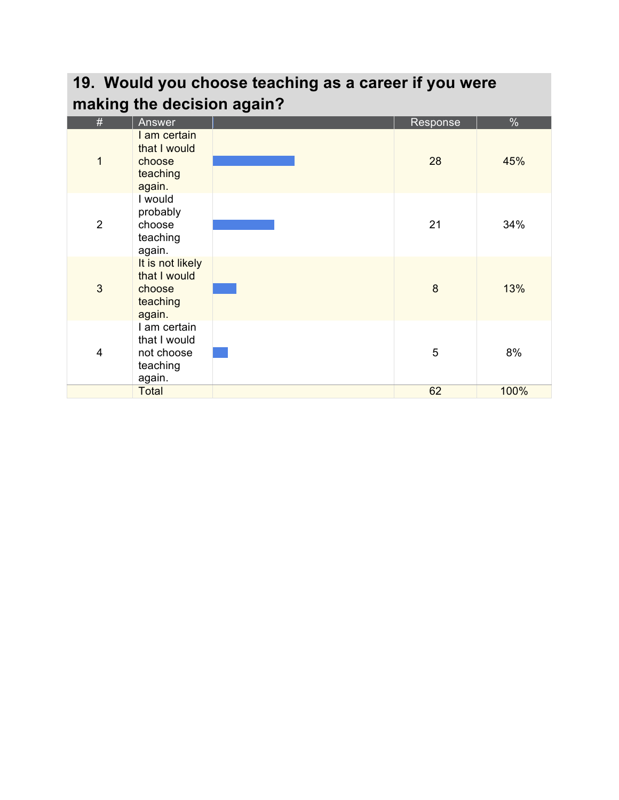| 19. Would you choose teaching as a career if you were |                                                                  |  |          |      |  |  |
|-------------------------------------------------------|------------------------------------------------------------------|--|----------|------|--|--|
| making the decision again?                            |                                                                  |  |          |      |  |  |
| #                                                     | Answer                                                           |  | Response | $\%$ |  |  |
| $\mathbf{1}$                                          | I am certain<br>that I would<br>choose<br>teaching<br>again.     |  | 28       | 45%  |  |  |
| $\overline{2}$                                        | I would<br>probably<br>choose<br>teaching<br>again.              |  | 21       | 34%  |  |  |
| 3                                                     | It is not likely<br>that I would<br>choose<br>teaching<br>again. |  | 8        | 13%  |  |  |
| $\overline{4}$                                        | I am certain<br>that I would<br>not choose<br>teaching<br>again. |  | 5        | 8%   |  |  |
|                                                       | <b>Total</b>                                                     |  | 62       | 100% |  |  |

# **19. Would you choose teaching as a career if you were**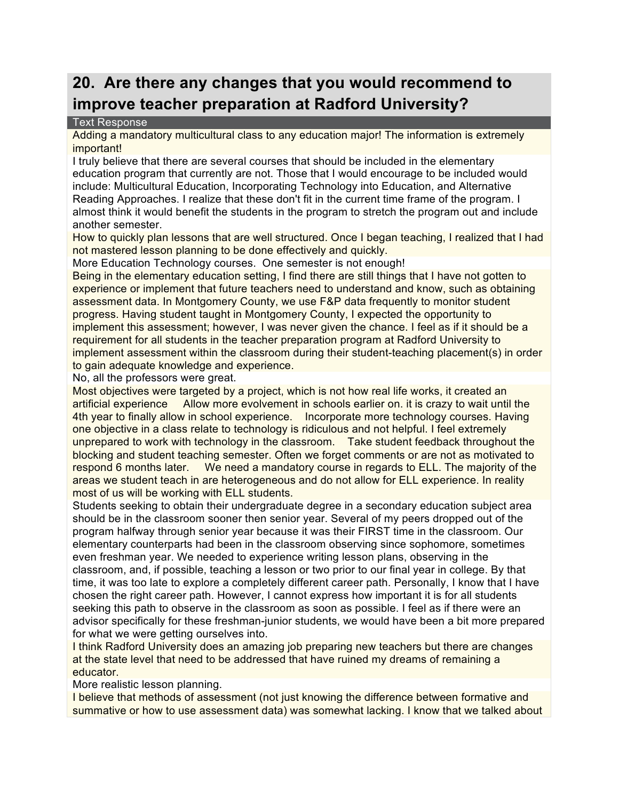## **20. Are there any changes that you would recommend to improve teacher preparation at Radford University?**

#### Text Response

Adding a mandatory multicultural class to any education major! The information is extremely important!

I truly believe that there are several courses that should be included in the elementary education program that currently are not. Those that I would encourage to be included would include: Multicultural Education, Incorporating Technology into Education, and Alternative Reading Approaches. I realize that these don't fit in the current time frame of the program. I almost think it would benefit the students in the program to stretch the program out and include another semester.

How to quickly plan lessons that are well structured. Once I began teaching, I realized that I had not mastered lesson planning to be done effectively and quickly.

More Education Technology courses. One semester is not enough!

Being in the elementary education setting, I find there are still things that I have not gotten to experience or implement that future teachers need to understand and know, such as obtaining assessment data. In Montgomery County, we use F&P data frequently to monitor student progress. Having student taught in Montgomery County, I expected the opportunity to implement this assessment; however, I was never given the chance. I feel as if it should be a requirement for all students in the teacher preparation program at Radford University to implement assessment within the classroom during their student-teaching placement(s) in order to gain adequate knowledge and experience.

No, all the professors were great.

Most objectives were targeted by a project, which is not how real life works, it created an artificial experience Allow more evolvement in schools earlier on. it is crazy to wait until the 4th year to finally allow in school experience. Incorporate more technology courses. Having one objective in a class relate to technology is ridiculous and not helpful. I feel extremely unprepared to work with technology in the classroom. Take student feedback throughout the blocking and student teaching semester. Often we forget comments or are not as motivated to respond 6 months later. We need a mandatory course in regards to ELL. The majority of the areas we student teach in are heterogeneous and do not allow for ELL experience. In reality most of us will be working with ELL students.

Students seeking to obtain their undergraduate degree in a secondary education subject area should be in the classroom sooner then senior year. Several of my peers dropped out of the program halfway through senior year because it was their FIRST time in the classroom. Our elementary counterparts had been in the classroom observing since sophomore, sometimes even freshman year. We needed to experience writing lesson plans, observing in the classroom, and, if possible, teaching a lesson or two prior to our final year in college. By that time, it was too late to explore a completely different career path. Personally, I know that I have chosen the right career path. However, I cannot express how important it is for all students seeking this path to observe in the classroom as soon as possible. I feel as if there were an advisor specifically for these freshman-junior students, we would have been a bit more prepared for what we were getting ourselves into.

I think Radford University does an amazing job preparing new teachers but there are changes at the state level that need to be addressed that have ruined my dreams of remaining a educator.

More realistic lesson planning.

I believe that methods of assessment (not just knowing the difference between formative and summative or how to use assessment data) was somewhat lacking. I know that we talked about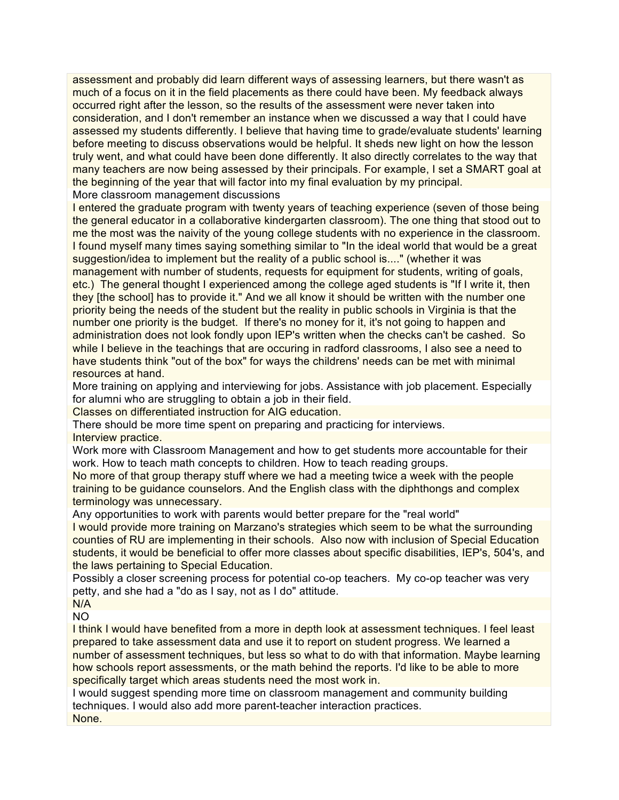assessment and probably did learn different ways of assessing learners, but there wasn't as much of a focus on it in the field placements as there could have been. My feedback always occurred right after the lesson, so the results of the assessment were never taken into consideration, and I don't remember an instance when we discussed a way that I could have assessed my students differently. I believe that having time to grade/evaluate students' learning before meeting to discuss observations would be helpful. It sheds new light on how the lesson truly went, and what could have been done differently. It also directly correlates to the way that many teachers are now being assessed by their principals. For example, I set a SMART goal at the beginning of the year that will factor into my final evaluation by my principal. More classroom management discussions

I entered the graduate program with twenty years of teaching experience (seven of those being the general educator in a collaborative kindergarten classroom). The one thing that stood out to me the most was the naivity of the young college students with no experience in the classroom. I found myself many times saying something similar to "In the ideal world that would be a great suggestion/idea to implement but the reality of a public school is...." (whether it was management with number of students, requests for equipment for students, writing of goals, etc.) The general thought I experienced among the college aged students is "If I write it, then they [the school] has to provide it." And we all know it should be written with the number one priority being the needs of the student but the reality in public schools in Virginia is that the number one priority is the budget. If there's no money for it, it's not going to happen and administration does not look fondly upon IEP's written when the checks can't be cashed. So while I believe in the teachings that are occuring in radford classrooms, I also see a need to have students think "out of the box" for ways the childrens' needs can be met with minimal resources at hand.

More training on applying and interviewing for jobs. Assistance with job placement. Especially for alumni who are struggling to obtain a job in their field.

Classes on differentiated instruction for AIG education.

There should be more time spent on preparing and practicing for interviews. Interview practice.

Work more with Classroom Management and how to get students more accountable for their work. How to teach math concepts to children. How to teach reading groups.

No more of that group therapy stuff where we had a meeting twice a week with the people training to be guidance counselors. And the English class with the diphthongs and complex terminology was unnecessary.

Any opportunities to work with parents would better prepare for the "real world"

I would provide more training on Marzano's strategies which seem to be what the surrounding counties of RU are implementing in their schools. Also now with inclusion of Special Education students, it would be beneficial to offer more classes about specific disabilities, IEP's, 504's, and the laws pertaining to Special Education.

Possibly a closer screening process for potential co-op teachers. My co-op teacher was very petty, and she had a "do as I say, not as I do" attitude.

N/A NO

I think I would have benefited from a more in depth look at assessment techniques. I feel least prepared to take assessment data and use it to report on student progress. We learned a number of assessment techniques, but less so what to do with that information. Maybe learning how schools report assessments, or the math behind the reports. I'd like to be able to more specifically target which areas students need the most work in.

I would suggest spending more time on classroom management and community building techniques. I would also add more parent-teacher interaction practices. None.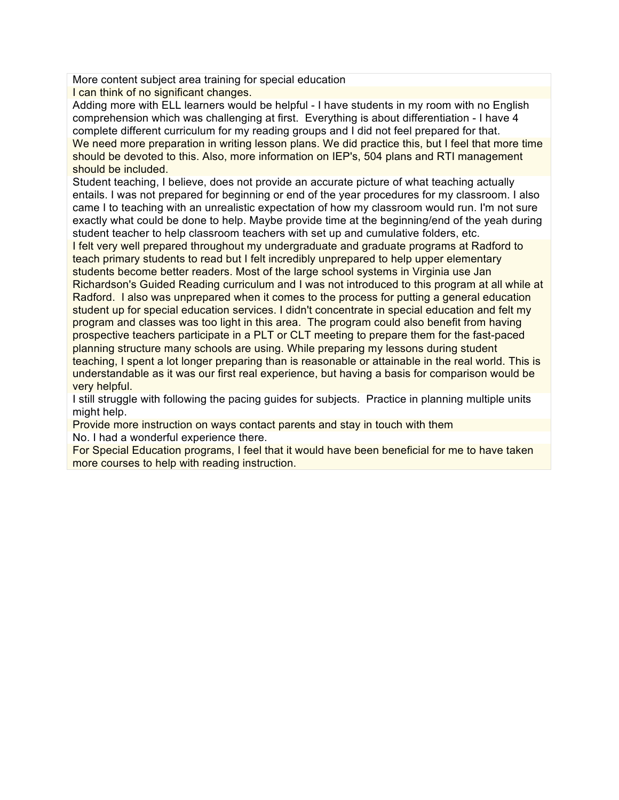More content subject area training for special education I can think of no significant changes.

Adding more with ELL learners would be helpful - I have students in my room with no English comprehension which was challenging at first. Everything is about differentiation - I have 4 complete different curriculum for my reading groups and I did not feel prepared for that. We need more preparation in writing lesson plans. We did practice this, but I feel that more time should be devoted to this. Also, more information on IEP's, 504 plans and RTI management should be included.

Student teaching, I believe, does not provide an accurate picture of what teaching actually entails. I was not prepared for beginning or end of the year procedures for my classroom. I also came I to teaching with an unrealistic expectation of how my classroom would run. I'm not sure exactly what could be done to help. Maybe provide time at the beginning/end of the yeah during student teacher to help classroom teachers with set up and cumulative folders, etc.

I felt very well prepared throughout my undergraduate and graduate programs at Radford to teach primary students to read but I felt incredibly unprepared to help upper elementary students become better readers. Most of the large school systems in Virginia use Jan Richardson's Guided Reading curriculum and I was not introduced to this program at all while at Radford. I also was unprepared when it comes to the process for putting a general education student up for special education services. I didn't concentrate in special education and felt my program and classes was too light in this area. The program could also benefit from having prospective teachers participate in a PLT or CLT meeting to prepare them for the fast-paced planning structure many schools are using. While preparing my lessons during student teaching, I spent a lot longer preparing than is reasonable or attainable in the real world. This is understandable as it was our first real experience, but having a basis for comparison would be very helpful.

I still struggle with following the pacing guides for subjects. Practice in planning multiple units might help.

Provide more instruction on ways contact parents and stay in touch with them No. I had a wonderful experience there.

For Special Education programs, I feel that it would have been beneficial for me to have taken more courses to help with reading instruction.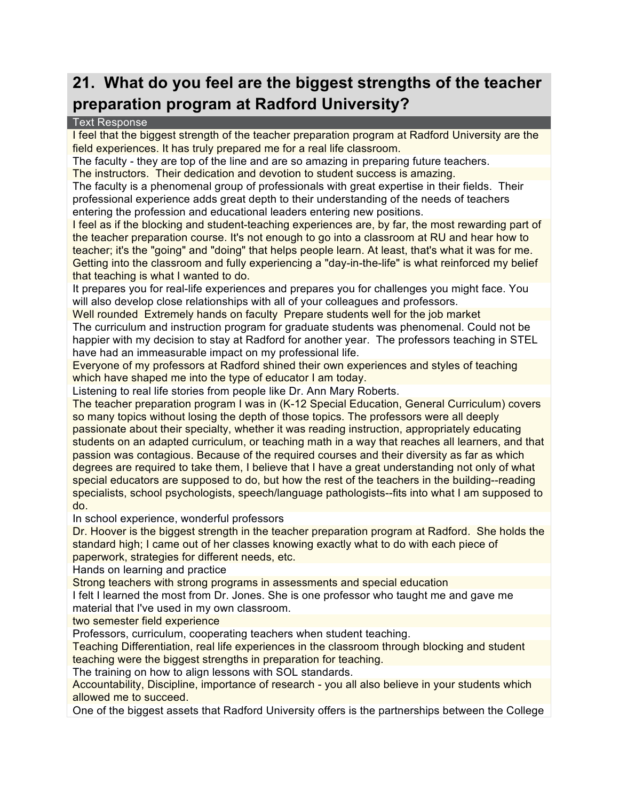# **21. What do you feel are the biggest strengths of the teacher preparation program at Radford University?**

#### Text Response

I feel that the biggest strength of the teacher preparation program at Radford University are the field experiences. It has truly prepared me for a real life classroom.

The faculty - they are top of the line and are so amazing in preparing future teachers.

The instructors. Their dedication and devotion to student success is amazing.

The faculty is a phenomenal group of professionals with great expertise in their fields. Their professional experience adds great depth to their understanding of the needs of teachers entering the profession and educational leaders entering new positions.

I feel as if the blocking and student-teaching experiences are, by far, the most rewarding part of the teacher preparation course. It's not enough to go into a classroom at RU and hear how to teacher; it's the "going" and "doing" that helps people learn. At least, that's what it was for me. Getting into the classroom and fully experiencing a "day-in-the-life" is what reinforced my belief that teaching is what I wanted to do.

It prepares you for real-life experiences and prepares you for challenges you might face. You will also develop close relationships with all of your colleagues and professors.

Well rounded Extremely hands on faculty Prepare students well for the job market The curriculum and instruction program for graduate students was phenomenal. Could not be happier with my decision to stay at Radford for another year. The professors teaching in STEL have had an immeasurable impact on my professional life.

Everyone of my professors at Radford shined their own experiences and styles of teaching which have shaped me into the type of educator I am today.

Listening to real life stories from people like Dr. Ann Mary Roberts.

The teacher preparation program I was in (K-12 Special Education, General Curriculum) covers so many topics without losing the depth of those topics. The professors were all deeply passionate about their specialty, whether it was reading instruction, appropriately educating students on an adapted curriculum, or teaching math in a way that reaches all learners, and that passion was contagious. Because of the required courses and their diversity as far as which degrees are required to take them, I believe that I have a great understanding not only of what special educators are supposed to do, but how the rest of the teachers in the building--reading specialists, school psychologists, speech/language pathologists--fits into what I am supposed to do.

In school experience, wonderful professors

Dr. Hoover is the biggest strength in the teacher preparation program at Radford. She holds the standard high; I came out of her classes knowing exactly what to do with each piece of paperwork, strategies for different needs, etc.

Hands on learning and practice

Strong teachers with strong programs in assessments and special education

I felt I learned the most from Dr. Jones. She is one professor who taught me and gave me material that I've used in my own classroom.

two semester field experience

Professors, curriculum, cooperating teachers when student teaching.

Teaching Differentiation, real life experiences in the classroom through blocking and student teaching were the biggest strengths in preparation for teaching.

The training on how to align lessons with SOL standards.

Accountability, Discipline, importance of research - you all also believe in your students which allowed me to succeed.

One of the biggest assets that Radford University offers is the partnerships between the College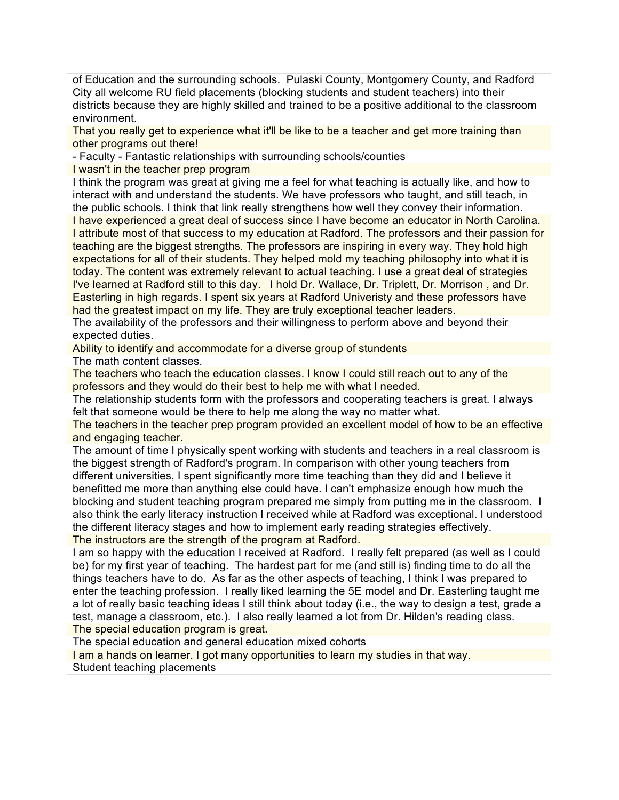of Education and the surrounding schools. Pulaski County, Montgomery County, and Radford City all welcome RU field placements (blocking students and student teachers) into their districts because they are highly skilled and trained to be a positive additional to the classroom environment.

That you really get to experience what it'll be like to be a teacher and get more training than other programs out there!

- Faculty - Fantastic relationships with surrounding schools/counties

I wasn't in the teacher prep program

I think the program was great at giving me a feel for what teaching is actually like, and how to interact with and understand the students. We have professors who taught, and still teach, in the public schools. I think that link really strengthens how well they convey their information. I have experienced a great deal of success since I have become an educator in North Carolina. I attribute most of that success to my education at Radford. The professors and their passion for teaching are the biggest strengths. The professors are inspiring in every way. They hold high expectations for all of their students. They helped mold my teaching philosophy into what it is today. The content was extremely relevant to actual teaching. I use a great deal of strategies I've learned at Radford still to this day. I hold Dr. Wallace, Dr. Triplett, Dr. Morrison , and Dr. Easterling in high regards. I spent six years at Radford Univeristy and these professors have had the greatest impact on my life. They are truly exceptional teacher leaders.

The availability of the professors and their willingness to perform above and beyond their expected duties.

Ability to identify and accommodate for a diverse group of stundents

The math content classes.

The teachers who teach the education classes. I know I could still reach out to any of the professors and they would do their best to help me with what I needed.

The relationship students form with the professors and cooperating teachers is great. I always felt that someone would be there to help me along the way no matter what.

The teachers in the teacher prep program provided an excellent model of how to be an effective and engaging teacher.

The amount of time I physically spent working with students and teachers in a real classroom is the biggest strength of Radford's program. In comparison with other young teachers from different universities, I spent significantly more time teaching than they did and I believe it benefitted me more than anything else could have. I can't emphasize enough how much the blocking and student teaching program prepared me simply from putting me in the classroom. I also think the early literacy instruction I received while at Radford was exceptional. I understood the different literacy stages and how to implement early reading strategies effectively. The instructors are the strength of the program at Radford.

I am so happy with the education I received at Radford. I really felt prepared (as well as I could be) for my first year of teaching. The hardest part for me (and still is) finding time to do all the things teachers have to do. As far as the other aspects of teaching, I think I was prepared to enter the teaching profession. I really liked learning the 5E model and Dr. Easterling taught me a lot of really basic teaching ideas I still think about today (i.e., the way to design a test, grade a test, manage a classroom, etc.). I also really learned a lot from Dr. Hilden's reading class. The special education program is great.

The special education and general education mixed cohorts

I am a hands on learner. I got many opportunities to learn my studies in that way.

Student teaching placements